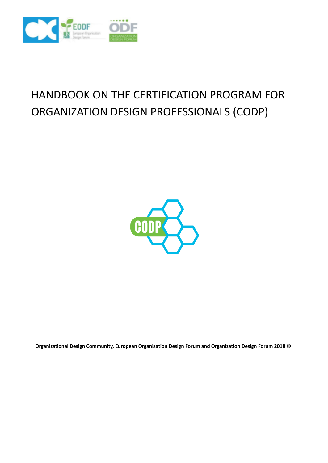

# HANDBOOK ON THE CERTIFICATION PROGRAM FOR ORGANIZATION DESIGN PROFESSIONALS (CODP)



**Organizational Design Community, European Organisation Design Forum and Organization Design Forum 2018 ©**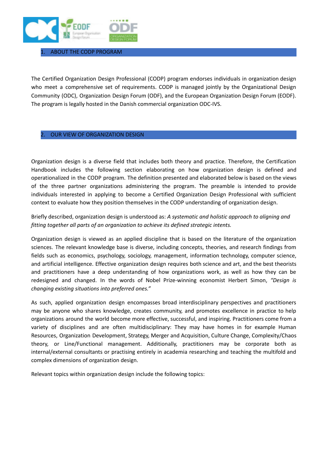

## 1. ABOUT THE CODP PROGRAM

The Certified Organization Design Professional (CODP) program endorses individuals in organization design who meet a comprehensive set of requirements. CODP is managed jointly by the Organizational Design Community (ODC), Organization Design Forum (ODF), and the European Organization Design Forum (EODF). The program is legally hosted in the Danish commercial organization ODC-IVS.

## 2. OUR VIEW OF ORGANIZATION DESIGN

Organization design is a diverse field that includes both theory and practice. Therefore, the Certification Handbook includes the following section elaborating on how organization design is defined and operationalized in the CODP program. The definition presented and elaborated below is based on the views of the three partner organizations administering the program. The preamble is intended to provide individuals interested in applying to become a Certified Organization Design Professional with sufficient context to evaluate how they position themselves in the CODP understanding of organization design.

Briefly described, organization design is understood as: *A systematic and holistic approach to aligning and fitting together all parts of an organization to achieve its defined strategic intents.*

Organization design is viewed as an applied discipline that is based on the literature of the organization sciences. The relevant knowledge base is diverse, including concepts, theories, and research findings from fields such as economics, psychology, sociology, management, information technology, computer science, and artificial intelligence. Effective organization design requires both science and art, and the best theorists and practitioners have a deep understanding of how organizations work, as well as how they can be redesigned and changed. In the words of Nobel Prize-winning economist Herbert Simon, *"Design is changing existing situations into preferred ones."*

As such, applied organization design encompasses broad interdisciplinary perspectives and practitioners may be anyone who shares knowledge, creates community, and promotes excellence in practice to help organizations around the world become more effective, successful, and inspiring. Practitioners come from a variety of disciplines and are often multidisciplinary: They may have homes in for example Human Resources, Organization Development, Strategy, Merger and Acquisition, Culture Change, Complexity/Chaos theory, or Line/Functional management. Additionally, practitioners may be corporate both as internal/external consultants or practising entirely in academia researching and teaching the multifold and complex dimensions of organization design.

Relevant topics within organization design include the following topics: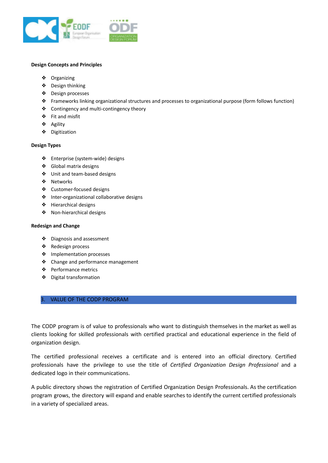

#### **Design Concepts and Principles**

- ❖ Organizing
- ❖ Design thinking
- ❖ Design processes
- ❖ Frameworks linking organizational structures and processes to organizational purpose (form follows function)
- ❖ Contingency and multi-contingency theory
- ❖ Fit and misfit
- ❖ Agility
- ❖ Digitization

#### **Design Types**

- ❖ Enterprise (system-wide) designs
- ❖ Global matrix designs
- ❖ Unit and team-based designs
- ❖ Networks
- ❖ Customer-focused designs
- ❖ Inter-organizational collaborative designs
- ❖ Hierarchical designs
- ❖ Non-hierarchical designs

#### **Redesign and Change**

- ❖ Diagnosis and assessment
- ❖ Redesign process
- ❖ Implementation processes
- ❖ Change and performance management
- ❖ Performance metrics
- ❖ Digital transformation

## 3. VALUE OF THE CODP PROGRAM

The CODP program is of value to professionals who want to distinguish themselves in the market as well as clients looking for skilled professionals with certified practical and educational experience in the field of organization design.

The certified professional receives a certificate and is entered into an official directory. Certified professionals have the privilege to use the title of *Certified Organization Design Professional* and a dedicated logo in their communications.

A public directory shows the registration of Certified Organization Design Professionals. As the certification program grows, the directory will expand and enable searches to identify the current certified professionals in a variety of specialized areas.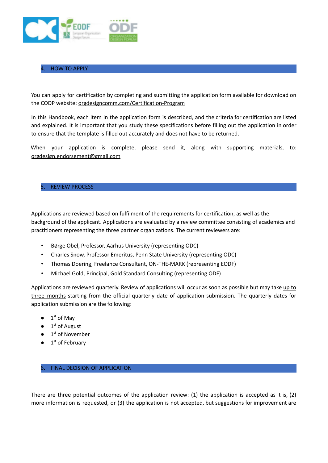

## 4. HOW TO APPLY

You can apply for certification by completing and submitting the application form available for download on the CODP website: [orgdesigncomm.com/Certification-Program](http://orgdesigncomm.com/Certification-Program)

In this Handbook, each item in the application form is described, and the criteria for certification are listed and explained. It is important that you study these specifications before filling out the application in order to ensure that the template is filled out accurately and does not have to be returned.

When your application is complete, please send it, along with supporting materials, to: orgdesign.endorsement@gmail.com

## 5. REVIEW PROCESS

Applications are reviewed based on fulfilment of the requirements for certification, as well as the background of the applicant. Applications are evaluated by a review committee consisting of academics and practitioners representing the three partner organizations. The current reviewers are:

- Børge Obel, Professor, Aarhus University (representing ODC)
- Charles Snow, Professor Emeritus, Penn State University (representing ODC)
- Thomas Doering, Freelance Consultant, ON-THE-MARK (representing EODF)
- Michael Gold, Principal, Gold Standard Consulting (representing ODF)

Applications are reviewed quarterly. Review of applications will occur as soon as possible but may take up to three months starting from the official quarterly date of application submission. The quarterly dates for application submission are the following:

- $\bullet$  1<sup>st</sup> of May
- $\bullet$  1<sup>st</sup> of August
- $\bullet$  1<sup>st</sup> of November
- $\bullet$  1<sup>st</sup> of February

## 6. FINAL DECISION OF APPLICATION

There are three potential outcomes of the application review: (1) the application is accepted as it is, (2) more information is requested, or (3) the application is not accepted, but suggestions for improvement are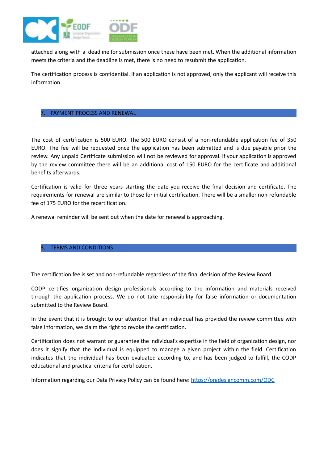

attached along with a deadline for submission once these have been met. When the additional information meets the criteria and the deadline is met, there is no need to resubmit the application.

The certification process is confidential. If an application is not approved, only the applicant will receive this information.

## 7. PAYMENT PROCESS AND RENEWAL

The cost of certification is 500 EURO. The 500 EURO consist of a non-refundable application fee of 350 EURO. The fee will be requested once the application has been submitted and is due payable prior the review. Any unpaid Certificate submission will not be reviewed for approval. If your application is approved by the review committee there will be an additional cost of 150 EURO for the certificate and additional benefits afterwards.

Certification is valid for three years starting the date you receive the final decision and certificate. The requirements for renewal are similar to those for initial certification. There will be a smaller non-refundable fee of 175 EURO for the recertification.

A renewal reminder will be sent out when the date for renewal is approaching.

## TERMS AND CONDITIONS

The certification fee is set and non-refundable regardless of the final decision of the Review Board.

CODP certifies organization design professionals according to the information and materials received through the application process. We do not take responsibility for false information or documentation submitted to the Review Board.

In the event that it is brought to our attention that an individual has provided the review committee with false information, we claim the right to revoke the certification.

Certification does not warrant or guarantee the individual's expertise in the field of organization design, nor does it signify that the individual is equipped to manage a given project within the field. Certification indicates that the individual has been evaluated according to, and has been judged to fulfill, the CODP educational and practical criteria for certification.

Information regarding our Data Privacy Policy can be found here: <https://orgdesigncomm.com/ODC>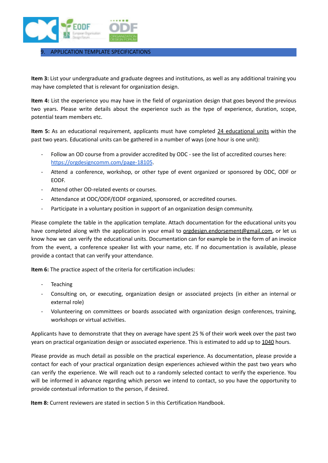

## 9. APPLICATION TEMPLATE SPECIFICATIONS

**Item 3:** List your undergraduate and graduate degrees and institutions, as well as any additional training you may have completed that is relevant for organization design.

**Item 4:** List the experience you may have in the field of organization design that goes beyond the previous two years. Please write details about the experience such as the type of experience, duration, scope, potential team members etc.

**Item 5:** As an educational requirement, applicants must have completed 24 educational units within the past two years. Educational units can be gathered in a number of ways (one hour is one unit):

- Follow an OD course from a provider accredited by ODC see the list of accredited courses here: <https://orgdesigncomm.com/page-18105>.
- Attend a conference, workshop, or other type of event organized or sponsored by ODC, ODF or EODF.
- Attend other OD-related events or courses.
- Attendance at ODC/ODF/EODF organized, sponsored, or accredited courses.
- Participate in a voluntary position in support of an organization design community.

Please complete the table in the application template. Attach documentation for the educational units you have completed along with the application in your email to orgdesign.endorsement@gmail.com, or let us know how we can verify the educational units. Documentation can for example be in the form of an invoice from the event, a conference speaker list with your name, etc. If no documentation is available, please provide a contact that can verify your attendance.

**Item 6:** The practice aspect of the criteria for certification includes:

- **Teaching**
- Consulting on, or executing, organization design or associated projects (in either an internal or external role)
- Volunteering on committees or boards associated with organization design conferences, training, workshops or virtual activities.

Applicants have to demonstrate that they on average have spent 25 % of their work week over the past two years on practical organization design or associated experience. This is estimated to add up to 1040 hours.

Please provide as much detail as possible on the practical experience. As documentation, please provide a contact for each of your practical organization design experiences achieved within the past two years who can verify the experience. We will reach out to a randomly selected contact to verify the experience. You will be informed in advance regarding which person we intend to contact, so you have the opportunity to provide contextual information to the person, if desired.

**Item 8:** Current reviewers are stated in section 5 in this Certification Handbook.